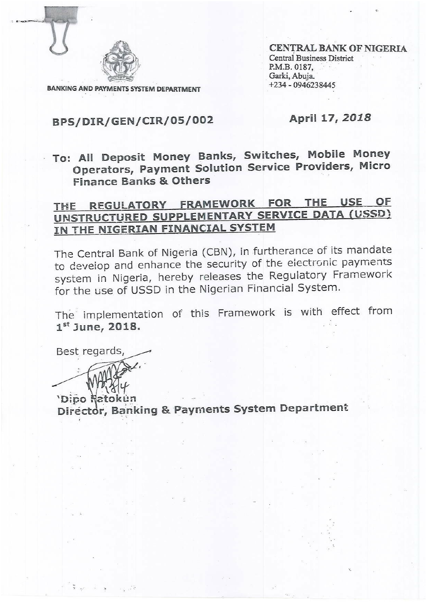

**BANKING AND PAYMENTS SYSTEM DEPARTMENT** 

**CENTRAL BANK OF NIGERIA Central Business District** P.M.B. 0187, Garki, Abuja.  $+234 - 0946238445$ 

# BPS/DIR/GEN/CIR/05/002

#### April 17, 2018

· To: All Deposit Money Banks, Switches, Mobile Money Operators, Payment Solution Service Providers, Micro **Finance Banks & Others** 

# THE REGULATORY FRAMEWORK FOR THE USE OF UNSTRUCTURED SUPPLEMENTARY SERVICE DATA (USSD) IN THE NIGERIAN FINANCIAL SYSTEM

The Central Bank of Nigeria (CBN), in furtherance of its mandate to develop and enhance the security of the electronic payments system in Nigeria, hereby releases the Regulatory Framework for the use of USSD in the Nigerian Financial System.

The implementation of this Framework is with effect from  $1<sup>st</sup>$  June, 2018.

Best regards,

'Dico Natokun Director, Banking & Payments System Department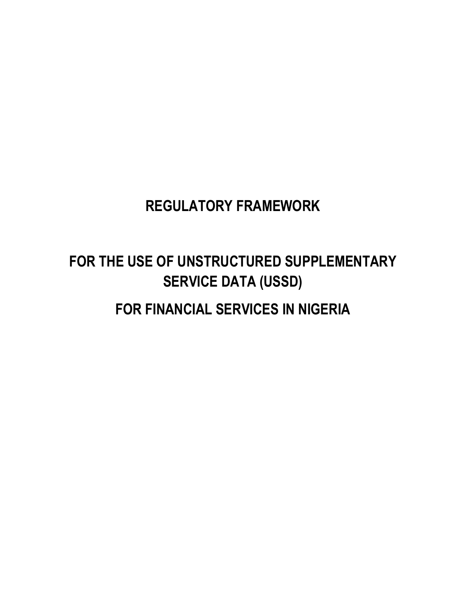# **REGULATORY FRAMEWORK**

# **FOR THE USE OF UNSTRUCTURED SUPPLEMENTARY SERVICE DATA (USSD)**

# **FOR FINANCIAL SERVICES IN NIGERIA**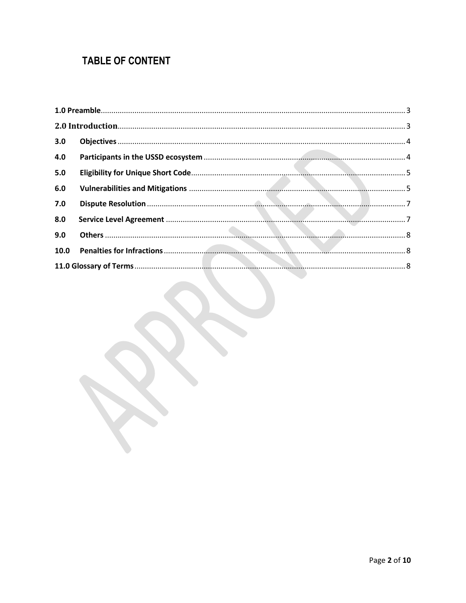# **TABLE OF CONTENT**

| 3.0 |  |  |  |
|-----|--|--|--|
| 4.0 |  |  |  |
| 5.0 |  |  |  |
| 6.0 |  |  |  |
| 7.0 |  |  |  |
| 8.0 |  |  |  |
| 9.0 |  |  |  |
|     |  |  |  |
|     |  |  |  |
|     |  |  |  |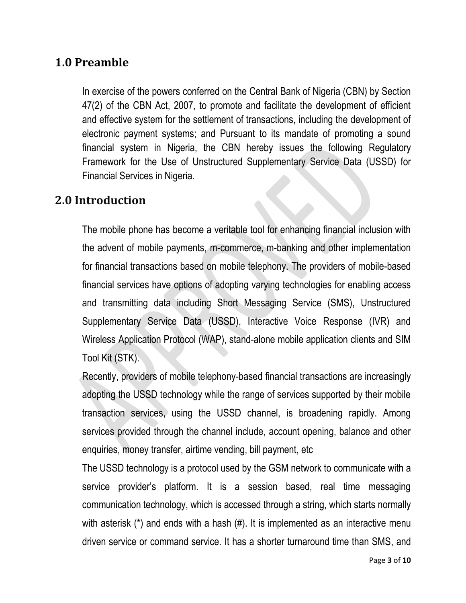## <span id="page-3-0"></span>**1.0 Preamble**

In exercise of the powers conferred on the Central Bank of Nigeria (CBN) by Section 47(2) of the CBN Act, 2007, to promote and facilitate the development of efficient and effective system for the settlement of transactions, including the development of electronic payment systems; and Pursuant to its mandate of promoting a sound financial system in Nigeria, the CBN hereby issues the following Regulatory Framework for the Use of Unstructured Supplementary Service Data (USSD) for Financial Services in Nigeria.

#### <span id="page-3-1"></span>**2.0 Introduction**

The mobile phone has become a veritable tool for enhancing financial inclusion with the advent of mobile payments, m-commerce, m-banking and other implementation for financial transactions based on mobile telephony. The providers of mobile-based financial services have options of adopting varying technologies for enabling access and transmitting data including Short Messaging Service (SMS), Unstructured Supplementary Service Data (USSD), Interactive Voice Response (IVR) and Wireless Application Protocol (WAP), stand-alone mobile application clients and SIM Tool Kit (STK).

Recently, providers of mobile telephony-based financial transactions are increasingly adopting the USSD technology while the range of services supported by their mobile transaction services, using the USSD channel, is broadening rapidly. Among services provided through the channel include, account opening, balance and other enquiries, money transfer, airtime vending, bill payment, etc

The USSD technology is a protocol used by the GSM network to communicate with a service provider's platform. It is a session based, real time messaging communication technology, which is accessed through a string, which starts normally with asterisk (\*) and ends with a hash (#). It is implemented as an interactive menu driven service or command service. It has a shorter turnaround time than SMS, and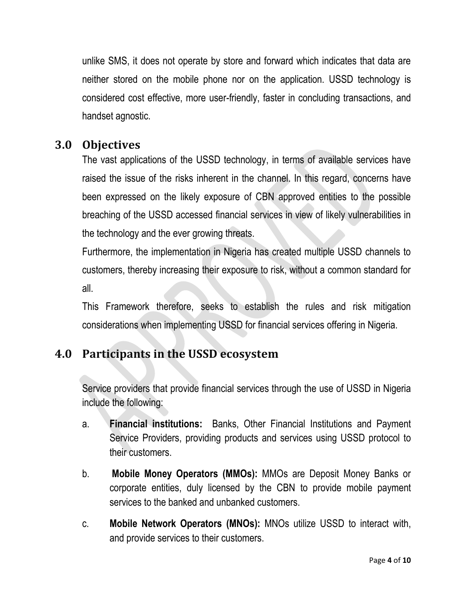unlike SMS, it does not operate by store and forward which indicates that data are neither stored on the mobile phone nor on the application. USSD technology is considered cost effective, more user-friendly, faster in concluding transactions, and handset agnostic.

## <span id="page-4-0"></span>**3.0 Objectives**

The vast applications of the USSD technology, in terms of available services have raised the issue of the risks inherent in the channel. In this regard, concerns have been expressed on the likely exposure of CBN approved entities to the possible breaching of the USSD accessed financial services in view of likely vulnerabilities in the technology and the ever growing threats.

Furthermore, the implementation in Nigeria has created multiple USSD channels to customers, thereby increasing their exposure to risk, without a common standard for all.

This Framework therefore, seeks to establish the rules and risk mitigation considerations when implementing USSD for financial services offering in Nigeria.

# <span id="page-4-1"></span>**4.0 Participants in the USSD ecosystem**

Service providers that provide financial services through the use of USSD in Nigeria include the following:

- a. **Financial institutions:** Banks, Other Financial Institutions and Payment Service Providers, providing products and services using USSD protocol to their customers.
- b. **Mobile Money Operators (MMOs):** MMOs are Deposit Money Banks or corporate entities, duly licensed by the CBN to provide mobile payment services to the banked and unbanked customers.
- c. **Mobile Network Operators (MNOs):** MNOs utilize USSD to interact with, and provide services to their customers.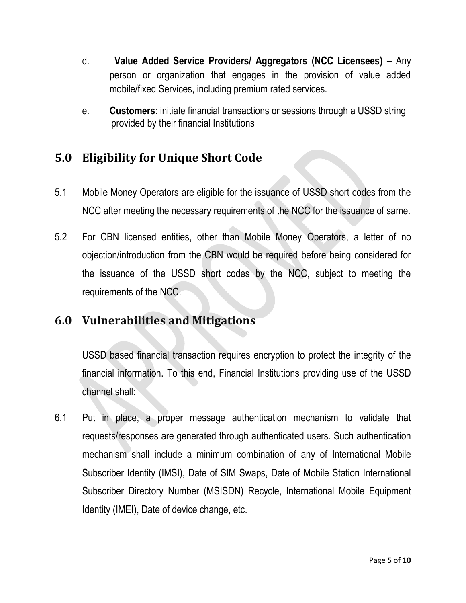- d. **Value Added Service Providers/ Aggregators (NCC Licensees) –** Any person or organization that engages in the provision of value added mobile/fixed Services, including premium rated services.
- e. **Customers**: initiate financial transactions or sessions through a USSD string provided by their financial Institutions

# <span id="page-5-0"></span>**5.0 Eligibility for Unique Short Code**

- 5.1 Mobile Money Operators are eligible for the issuance of USSD short codes from the NCC after meeting the necessary requirements of the NCC for the issuance of same.
- 5.2 For CBN licensed entities, other than Mobile Money Operators, a letter of no objection/introduction from the CBN would be required before being considered for the issuance of the USSD short codes by the NCC, subject to meeting the requirements of the NCC.

#### <span id="page-5-1"></span>**6.0 Vulnerabilities and Mitigations**

USSD based financial transaction requires encryption to protect the integrity of the financial information. To this end, Financial Institutions providing use of the USSD channel shall:

6.1 Put in place, a proper message authentication mechanism to validate that requests/responses are generated through authenticated users. Such authentication mechanism shall include a minimum combination of any of International Mobile Subscriber Identity (IMSI), Date of SIM Swaps, Date of Mobile Station International Subscriber Directory Number (MSISDN) Recycle, International Mobile Equipment Identity (IMEI), Date of device change, etc.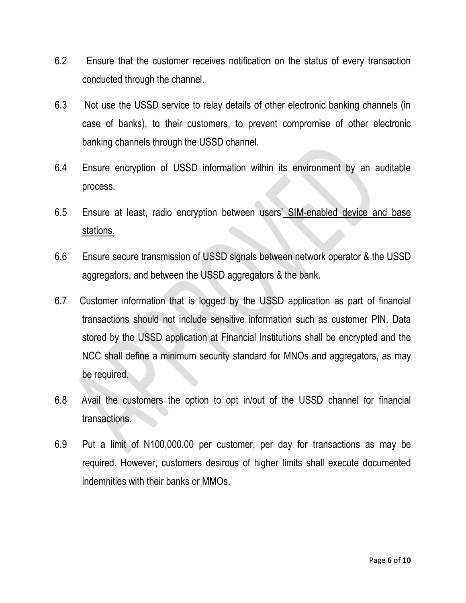- 6.2 Ensure that the customer receives notification on the status of every transaction conducted through the channel.
- 6.3 Not use the USSD service to relay details of other electronic banking channels (in case of banks), to their customers, to prevent compromise of other electronic banking channels through the USSD channel.
- 6.4 Ensure encryption of USSD information within its environment by an auditable process.
- 6.5 Ensure at least, radio encryption between users' SIM-enabled device and base stations.
- 6.6 Ensure secure transmission of USSD signals between network operator & the USSD aggregators, and between the USSD aggregators & the bank.
- 6.7 Customer information that is logged by the USSD application as part of financial transactions should not include sensitive information such as customer PIN. Data stored by the USSD application at Financial Institutions shall be encrypted and the NCC shall define a minimum security standard for MNOs and aggregators, as may be required.
- 6.8 Avail the customers the option to opt in/out of the USSD channel for financial transactions.
- 6.9 Put a limit of N100,000.00 per customer, per day for transactions as may be required. However, customers desirous of higher limits shall execute documented indemnities with their banks or MMOs.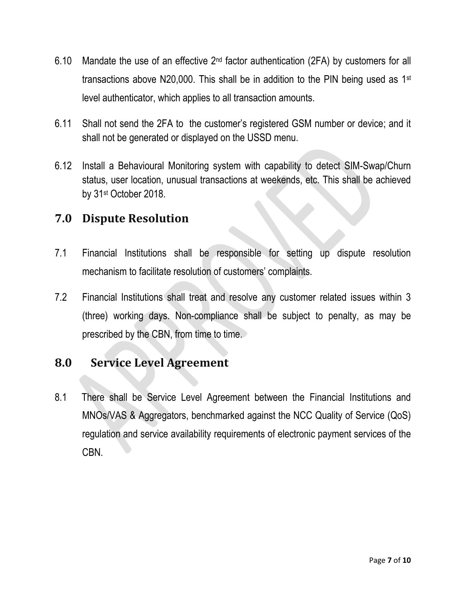- 6.10 Mandate the use of an effective  $2<sup>nd</sup>$  factor authentication (2FA) by customers for all transactions above N20,000. This shall be in addition to the PIN being used as 1st level authenticator, which applies to all transaction amounts.
- 6.11 Shall not send the 2FA to the customer's registered GSM number or device; and it shall not be generated or displayed on the USSD menu.
- 6.12 Install a Behavioural Monitoring system with capability to detect SIM-Swap/Churn status, user location, unusual transactions at weekends, etc. This shall be achieved by 31st October 2018.

#### <span id="page-7-0"></span>**7.0 Dispute Resolution**

- 7.1 Financial Institutions shall be responsible for setting up dispute resolution mechanism to facilitate resolution of customers' complaints.
- 7.2 Financial Institutions shall treat and resolve any customer related issues within 3 (three) working days. Non-compliance shall be subject to penalty, as may be prescribed by the CBN, from time to time.

#### <span id="page-7-1"></span>**8.0 Service Level Agreement**

8.1 There shall be Service Level Agreement between the Financial Institutions and MNOs/VAS & Aggregators, benchmarked against the NCC Quality of Service (QoS) regulation and service availability requirements of electronic payment services of the CBN.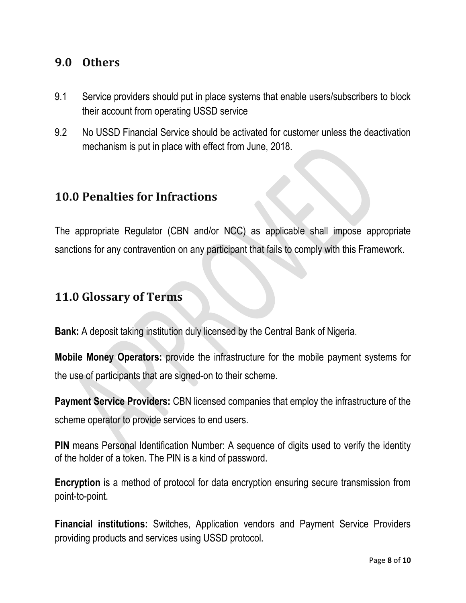#### <span id="page-8-0"></span>**9.0 Others**

- 9.1 Service providers should put in place systems that enable users/subscribers to block their account from operating USSD service
- 9.2 No USSD Financial Service should be activated for customer unless the deactivation mechanism is put in place with effect from June, 2018.

#### <span id="page-8-1"></span>**10.0 Penalties for Infractions**

The appropriate Regulator (CBN and/or NCC) as applicable shall impose appropriate sanctions for any contravention on any participant that fails to comply with this Framework.

#### <span id="page-8-2"></span>**11.0 Glossary of Terms**

**Bank:** A deposit taking institution duly licensed by the Central Bank of Nigeria.

**Mobile Money Operators:** provide the infrastructure for the mobile payment systems for the use of participants that are signed-on to their scheme.

**Payment Service Providers:** CBN licensed companies that employ the infrastructure of the scheme operator to provide services to end users.

**PIN** means Personal Identification Number: A sequence of digits used to verify the identity of the holder of a token. The PIN is a kind of password.

**Encryption** is a method of protocol for data encryption ensuring secure transmission from point-to-point.

**Financial institutions:** Switches, Application vendors and Payment Service Providers providing products and services using USSD protocol.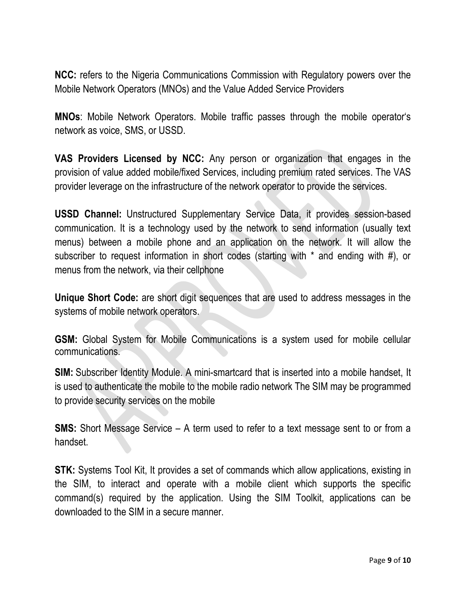**NCC:** refers to the Nigeria Communications Commission with Regulatory powers over the Mobile Network Operators (MNOs) and the Value Added Service Providers

**MNOs**: Mobile Network Operators. Mobile traffic passes through the mobile operator's network as voice, SMS, or USSD.

**VAS Providers Licensed by NCC:** Any person or organization that engages in the provision of value added mobile/fixed Services, including premium rated services. The VAS provider leverage on the infrastructure of the network operator to provide the services.

**USSD Channel:** Unstructured Supplementary Service Data, it provides session-based communication. It is a technology used by the network to send information (usually text menus) between a mobile phone and an application on the network. It will allow the subscriber to request information in short codes (starting with \* and ending with #), or menus from the network, via their cellphone

**Unique Short Code:** are short digit sequences that are used to address messages in the systems of mobile network operators.

**GSM:** Global System for Mobile Communications is a system used for mobile cellular communications.

**SIM:** Subscriber Identity Module. A mini-smartcard that is inserted into a mobile handset, It is used to authenticate the mobile to the mobile radio network The SIM may be programmed to provide security services on the mobile

**SMS:** Short Message Service – A term used to refer to a text message sent to or from a handset.

**STK:** Systems Tool Kit, It provides a set of commands which allow applications, existing in the SIM, to interact and operate with a mobile client which supports the specific command(s) required by the application. Using the SIM Toolkit, applications can be downloaded to the SIM in a secure manner.